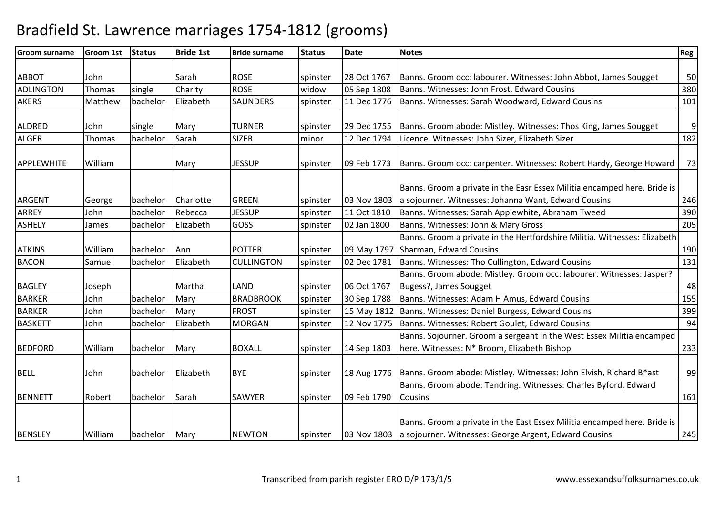| <b>Groom surname</b> | <b>Groom 1st</b> | <b>Status</b> | <b>Bride 1st</b> | <b>Bride surname</b> | <b>Status</b> | <b>Date</b> | <b>Notes</b>                                                                                                                                  | Reg              |
|----------------------|------------------|---------------|------------------|----------------------|---------------|-------------|-----------------------------------------------------------------------------------------------------------------------------------------------|------------------|
|                      |                  |               |                  |                      |               |             |                                                                                                                                               |                  |
| <b>ABBOT</b>         | John             |               | Sarah            | <b>ROSE</b>          | spinster      | 28 Oct 1767 | Banns. Groom occ: labourer. Witnesses: John Abbot, James Sougget                                                                              | 50               |
| ADLINGTON            | Thomas           | single        | Charity          | <b>ROSE</b>          | widow         | 05 Sep 1808 | Banns. Witnesses: John Frost, Edward Cousins                                                                                                  | 380              |
| <b>AKERS</b>         | Matthew          | bachelor      | Elizabeth        | <b>SAUNDERS</b>      | spinster      | 11 Dec 1776 | Banns. Witnesses: Sarah Woodward, Edward Cousins                                                                                              | 101              |
| <b>ALDRED</b>        | John             | single        | Mary             | <b>TURNER</b>        | spinster      | 29 Dec 1755 | Banns. Groom abode: Mistley. Witnesses: Thos King, James Sougget                                                                              | $\boldsymbol{9}$ |
| <b>ALGER</b>         | Thomas           | bachelor      | Sarah            | <b>SIZER</b>         | minor         | 12 Dec 1794 | Licence. Witnesses: John Sizer, Elizabeth Sizer                                                                                               | 182              |
| APPLEWHITE           | William          |               | Mary             | <b>JESSUP</b>        | spinster      | 09 Feb 1773 | Banns. Groom occ: carpenter. Witnesses: Robert Hardy, George Howard                                                                           | 73               |
| <b>ARGENT</b>        | George           | bachelor      | Charlotte        | <b>GREEN</b>         | spinster      | 03 Nov 1803 | Banns. Groom a private in the Easr Essex Militia encamped here. Bride is<br>a sojourner. Witnesses: Johanna Want, Edward Cousins              | 246              |
| ARREY                | John             | bachelor      | Rebecca          | <b>JESSUP</b>        | spinster      | 11 Oct 1810 | Banns. Witnesses: Sarah Applewhite, Abraham Tweed                                                                                             | 390              |
| <b>ASHELY</b>        | James            | bachelor      | Elizabeth        | GOSS                 | spinster      | 02 Jan 1800 | Banns. Witnesses: John & Mary Gross                                                                                                           | 205              |
|                      |                  |               |                  |                      |               |             | Banns. Groom a private in the Hertfordshire Militia. Witnesses: Elizabeth                                                                     |                  |
| <b>ATKINS</b>        | William          | bachelor      | Ann              | <b>POTTER</b>        | spinster      | 09 May 1797 | Sharman, Edward Cousins                                                                                                                       | 190              |
| <b>BACON</b>         | Samuel           | bachelor      | Elizabeth        | <b>CULLINGTON</b>    | spinster      | 02 Dec 1781 | Banns. Witnesses: Tho Cullington, Edward Cousins                                                                                              | 131              |
|                      |                  |               |                  |                      |               |             | Banns. Groom abode: Mistley. Groom occ: labourer. Witnesses: Jasper?                                                                          |                  |
| <b>BAGLEY</b>        | Joseph           |               | Martha           | LAND                 | spinster      | 06 Oct 1767 | Bugess?, James Sougget                                                                                                                        | 48               |
| <b>BARKER</b>        | John             | bachelor      | Mary             | <b>BRADBROOK</b>     | spinster      | 30 Sep 1788 | Banns. Witnesses: Adam H Amus, Edward Cousins                                                                                                 | 155              |
| <b>BARKER</b>        | John             | bachelor      | Mary             | <b>FROST</b>         | spinster      | 15 May 1812 | Banns. Witnesses: Daniel Burgess, Edward Cousins                                                                                              | 399              |
| <b>BASKETT</b>       | John             | bachelor      | Elizabeth        | <b>MORGAN</b>        | spinster      | 12 Nov 1775 | Banns. Witnesses: Robert Goulet, Edward Cousins                                                                                               | 94               |
|                      |                  |               |                  |                      |               |             | Banns. Sojourner. Groom a sergeant in the West Essex Militia encamped                                                                         |                  |
| <b>BEDFORD</b>       | William          | bachelor      | Mary             | <b>BOXALL</b>        | spinster      | 14 Sep 1803 | here. Witnesses: N* Broom, Elizabeth Bishop                                                                                                   | 233              |
| <b>BELL</b>          | John             | bachelor      | Elizabeth        | <b>BYE</b>           | spinster      |             | 18 Aug 1776   Banns. Groom abode: Mistley. Witnesses: John Elvish, Richard B*ast                                                              | 99               |
|                      |                  |               |                  |                      |               |             | Banns. Groom abode: Tendring. Witnesses: Charles Byford, Edward                                                                               |                  |
| <b>BENNETT</b>       | Robert           | bachelor      | Sarah            | <b>SAWYER</b>        | spinster      | 09 Feb 1790 | <b>Cousins</b>                                                                                                                                | 161              |
| <b>BENSLEY</b>       | William          | bachelor      | Mary             | <b>NEWTON</b>        | spinster      |             | Banns. Groom a private in the East Essex Militia encamped here. Bride is<br>03 Nov 1803 a sojourner. Witnesses: George Argent, Edward Cousins | 245              |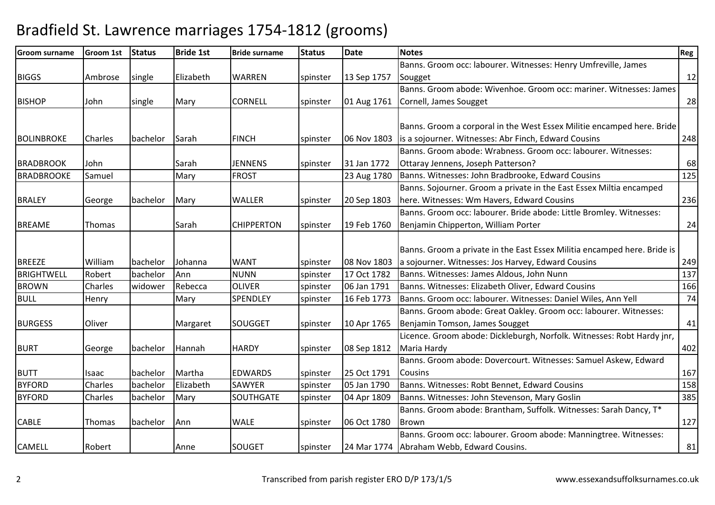| <b>Groom surname</b> | <b>Groom 1st</b> | <b>Status</b> | <b>Bride 1st</b> | <b>Bride surname</b> | <b>Status</b> | Date        | <b>Notes</b>                                                             | Reg |
|----------------------|------------------|---------------|------------------|----------------------|---------------|-------------|--------------------------------------------------------------------------|-----|
|                      |                  |               |                  |                      |               |             | Banns. Groom occ: labourer. Witnesses: Henry Umfreville, James           |     |
| <b>BIGGS</b>         | Ambrose          | single        | Elizabeth        | <b>WARREN</b>        | spinster      | 13 Sep 1757 | Sougget                                                                  | 12  |
|                      |                  |               |                  |                      |               |             | Banns. Groom abode: Wivenhoe. Groom occ: mariner. Witnesses: James       |     |
| <b>BISHOP</b>        | John             | single        | Mary             | <b>CORNELL</b>       | spinster      | 01 Aug 1761 | Cornell, James Sougget                                                   | 28  |
|                      |                  |               |                  |                      |               |             |                                                                          |     |
|                      |                  |               |                  |                      |               |             | Banns. Groom a corporal in the West Essex Militie encamped here. Bride   |     |
| <b>BOLINBROKE</b>    | Charles          | bachelor      | Sarah            | <b>FINCH</b>         | spinster      | 06 Nov 1803 | is a sojourner. Witnesses: Abr Finch, Edward Cousins                     | 248 |
|                      |                  |               |                  |                      |               |             | Banns. Groom abode: Wrabness. Groom occ: labourer. Witnesses:            |     |
| <b>BRADBROOK</b>     | John             |               | Sarah            | <b>JENNENS</b>       | spinster      | 31 Jan 1772 | Ottaray Jennens, Joseph Patterson?                                       | 68  |
| <b>BRADBROOKE</b>    | Samuel           |               | Mary             | <b>FROST</b>         |               | 23 Aug 1780 | Banns. Witnesses: John Bradbrooke, Edward Cousins                        | 125 |
|                      |                  |               |                  |                      |               |             | Banns. Sojourner. Groom a private in the East Essex Miltia encamped      |     |
| <b>BRALEY</b>        | George           | bachelor      | Mary             | <b>WALLER</b>        | spinster      | 20 Sep 1803 | here. Witnesses: Wm Havers, Edward Cousins                               | 236 |
|                      |                  |               |                  |                      |               |             | Banns. Groom occ: labourer. Bride abode: Little Bromley. Witnesses:      |     |
| <b>BREAME</b>        | Thomas           |               | Sarah            | <b>CHIPPERTON</b>    | spinster      | 19 Feb 1760 | Benjamin Chipperton, William Porter                                      | 24  |
|                      |                  |               |                  |                      |               |             |                                                                          |     |
|                      |                  |               |                  |                      |               |             | Banns. Groom a private in the East Essex Militia encamped here. Bride is |     |
| <b>BREEZE</b>        | William          | bachelor      | Johanna          | <b>WANT</b>          | spinster      | 08 Nov 1803 | a sojourner. Witnesses: Jos Harvey, Edward Cousins                       | 249 |
| <b>BRIGHTWELL</b>    | Robert           | bachelor      | Ann              | <b>NUNN</b>          | spinster      | 17 Oct 1782 | Banns. Witnesses: James Aldous, John Nunn                                | 137 |
| <b>BROWN</b>         | <b>Charles</b>   | widower       | Rebecca          | <b>OLIVER</b>        | spinster      | 06 Jan 1791 | Banns. Witnesses: Elizabeth Oliver, Edward Cousins                       | 166 |
| <b>BULL</b>          | Henry            |               | Mary             | SPENDLEY             | spinster      | 16 Feb 1773 | Banns. Groom occ: labourer. Witnesses: Daniel Wiles, Ann Yell            | 74  |
|                      |                  |               |                  |                      |               |             | Banns. Groom abode: Great Oakley. Groom occ: labourer. Witnesses:        |     |
| <b>BURGESS</b>       | Oliver           |               | Margaret         | <b>SOUGGET</b>       | spinster      | 10 Apr 1765 | Benjamin Tomson, James Sougget                                           | 41  |
|                      |                  |               |                  |                      |               |             | Licence. Groom abode: Dickleburgh, Norfolk. Witnesses: Robt Hardy jnr,   |     |
| <b>BURT</b>          | George           | bachelor      | Hannah           | <b>HARDY</b>         | spinster      | 08 Sep 1812 | Maria Hardy                                                              | 402 |
|                      |                  |               |                  |                      |               |             | Banns. Groom abode: Dovercourt. Witnesses: Samuel Askew, Edward          |     |
| <b>BUTT</b>          | Isaac            | bachelor      | Martha           | <b>EDWARDS</b>       | spinster      | 25 Oct 1791 | Cousins                                                                  | 167 |
| <b>BYFORD</b>        | Charles          | bachelor      | Elizabeth        | <b>SAWYER</b>        | spinster      | 05 Jan 1790 | Banns. Witnesses: Robt Bennet, Edward Cousins                            | 158 |
| <b>BYFORD</b>        | Charles          | bachelor      | Mary             | SOUTHGATE            | spinster      | 04 Apr 1809 | Banns. Witnesses: John Stevenson, Mary Goslin                            | 385 |
|                      |                  |               |                  |                      |               |             | Banns. Groom abode: Brantham, Suffolk. Witnesses: Sarah Dancy, T*        |     |
| <b>CABLE</b>         | Thomas           | bachelor      | Ann              | <b>WALE</b>          | spinster      | 06 Oct 1780 | <b>Brown</b>                                                             | 127 |
|                      |                  |               |                  |                      |               |             | Banns. Groom occ: labourer. Groom abode: Manningtree. Witnesses:         |     |
| <b>CAMELL</b>        | Robert           |               | Anne             | SOUGET               | spinster      |             | 24 Mar 1774 Abraham Webb, Edward Cousins.                                | 81  |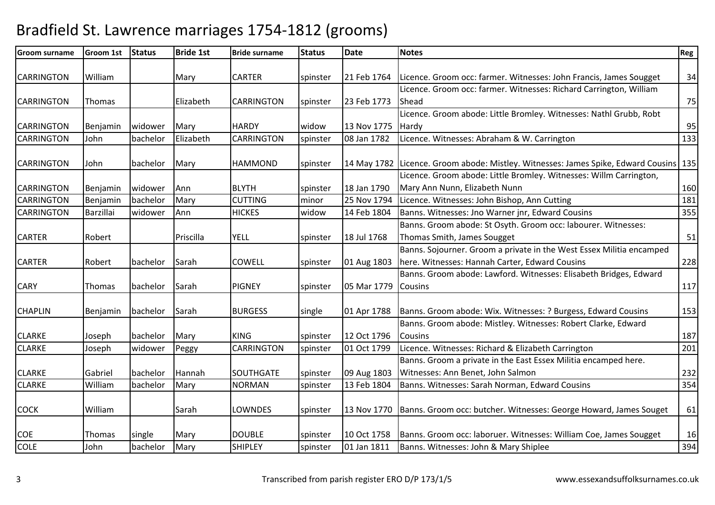| <b>Groom surname</b> | <b>Groom 1st</b> | <b>Status</b> | <b>Bride 1st</b> | <b>Bride surname</b> | <b>Status</b>        | Date        | <b>Notes</b>                                                                               | Reg |
|----------------------|------------------|---------------|------------------|----------------------|----------------------|-------------|--------------------------------------------------------------------------------------------|-----|
|                      |                  |               |                  |                      |                      |             |                                                                                            |     |
| <b>CARRINGTON</b>    | William          |               | Mary             | <b>CARTER</b>        | spinster             | 21 Feb 1764 | Licence. Groom occ: farmer. Witnesses: John Francis, James Sougget                         | 34  |
|                      |                  |               |                  |                      |                      |             | Licence. Groom occ: farmer. Witnesses: Richard Carrington, William                         |     |
| <b>CARRINGTON</b>    | Thomas           |               | Elizabeth        | <b>CARRINGTON</b>    | spinster             | 23 Feb 1773 | Shead                                                                                      | 75  |
|                      |                  |               |                  |                      |                      |             | Licence. Groom abode: Little Bromley. Witnesses: Nathl Grubb, Robt                         |     |
| <b>CARRINGTON</b>    | Benjamin         | widower       | Mary             | <b>HARDY</b>         | widow                | 13 Nov 1775 | Hardy                                                                                      | 95  |
| <b>CARRINGTON</b>    | John             | bachelor      | Elizabeth        | <b>CARRINGTON</b>    | spinster             | 08 Jan 1782 | Licence. Witnesses: Abraham & W. Carrington                                                | 133 |
| <b>CARRINGTON</b>    | John             | bachelor      | Mary             | <b>HAMMOND</b>       | spinster             |             | [14 May 1782   Licence. Groom abode: Mistley. Witnesses: James Spike, Edward Cousins   135 |     |
|                      |                  |               |                  |                      |                      |             | Licence. Groom abode: Little Bromley. Witnesses: Willm Carrington,                         |     |
| <b>CARRINGTON</b>    | Benjamin         | widower       | Ann              | <b>BLYTH</b>         | spinster             | 18 Jan 1790 | Mary Ann Nunn, Elizabeth Nunn                                                              | 160 |
| <b>CARRINGTON</b>    | Benjamin         | bachelor      | Mary             | <b>CUTTING</b>       | minor                | 25 Nov 1794 | Licence. Witnesses: John Bishop, Ann Cutting                                               | 181 |
| <b>CARRINGTON</b>    | Barzillai        | widower       | Ann              | <b>HICKES</b>        | widow                | 14 Feb 1804 | Banns. Witnesses: Jno Warner jnr, Edward Cousins                                           | 355 |
|                      |                  |               |                  |                      |                      |             | Banns. Groom abode: St Osyth. Groom occ: labourer. Witnesses:                              |     |
| <b>CARTER</b>        | Robert           |               | Priscilla        | <b>YELL</b>          | spinster             | 18 Jul 1768 | Thomas Smith, James Sougget                                                                | 51  |
|                      |                  |               |                  |                      |                      |             | Banns. Sojourner. Groom a private in the West Essex Militia encamped                       |     |
| <b>CARTER</b>        | Robert           | bachelor      | Sarah            | <b>COWELL</b>        | spinster             | 01 Aug 1803 | here. Witnesses: Hannah Carter, Edward Cousins                                             | 228 |
|                      |                  |               |                  |                      |                      |             | Banns. Groom abode: Lawford. Witnesses: Elisabeth Bridges, Edward                          |     |
| <b>CARY</b>          | <b>Thomas</b>    | bachelor      | Sarah            | <b>PIGNEY</b>        | spinster             | 05 Mar 1779 | Cousins                                                                                    | 117 |
| <b>CHAPLIN</b>       |                  | bachelor      | Sarah            | <b>BURGESS</b>       |                      |             | Banns. Groom abode: Wix. Witnesses: ? Burgess, Edward Cousins                              |     |
|                      | Benjamin         |               |                  |                      | single               | 01 Apr 1788 | Banns. Groom abode: Mistley. Witnesses: Robert Clarke, Edward                              | 153 |
| <b>CLARKE</b>        |                  | bachelor      | Mary             | <b>KING</b>          |                      | 12 Oct 1796 | Cousins                                                                                    | 187 |
| <b>CLARKE</b>        | Joseph<br>Joseph | widower       |                  | <b>CARRINGTON</b>    | spinster<br>spinster | 01 Oct 1799 | Licence. Witnesses: Richard & Elizabeth Carrington                                         | 201 |
|                      |                  |               | Peggy            |                      |                      |             | Banns. Groom a private in the East Essex Militia encamped here.                            |     |
| <b>CLARKE</b>        | Gabriel          | bachelor      | Hannah           | <b>SOUTHGATE</b>     | spinster             | 09 Aug 1803 | Witnesses: Ann Benet, John Salmon                                                          | 232 |
| <b>CLARKE</b>        | William          | bachelor      |                  | <b>NORMAN</b>        |                      | 13 Feb 1804 | Banns. Witnesses: Sarah Norman, Edward Cousins                                             | 354 |
|                      |                  |               | Mary             |                      | spinster             |             |                                                                                            |     |
| <b>COCK</b>          | William          |               | Sarah            | LOWNDES              | spinster             |             | 13 Nov 1770   Banns. Groom occ: butcher. Witnesses: George Howard, James Souget            | 61  |
|                      |                  |               |                  |                      |                      |             |                                                                                            |     |
| <b>COE</b>           | <b>Thomas</b>    | single        | Mary             | <b>DOUBLE</b>        | spinster             | 10 Oct 1758 | Banns. Groom occ: laboruer. Witnesses: William Coe, James Sougget                          | 16  |
| <b>COLE</b>          | John             | bachelor      | Mary             | <b>SHIPLEY</b>       | spinster             | 01 Jan 1811 | Banns. Witnesses: John & Mary Shiplee                                                      | 394 |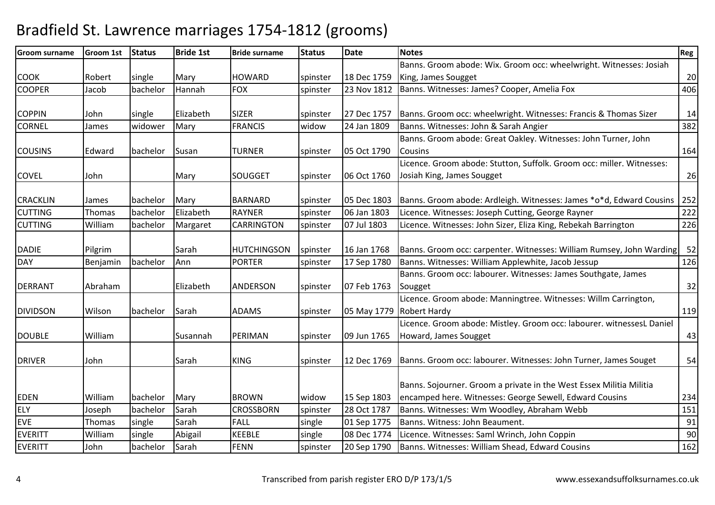| <b>Groom surname</b> | <b>Groom 1st</b> | <b>Status</b> | <b>Bride 1st</b> | <b>Bride surname</b> | <b>Status</b> | <b>Date</b> | <b>Notes</b>                                                                   | Reg |
|----------------------|------------------|---------------|------------------|----------------------|---------------|-------------|--------------------------------------------------------------------------------|-----|
|                      |                  |               |                  |                      |               |             | Banns. Groom abode: Wix. Groom occ: wheelwright. Witnesses: Josiah             |     |
| <b>COOK</b>          | Robert           | single        | Mary             | <b>HOWARD</b>        | spinster      | 18 Dec 1759 | King, James Sougget                                                            | 20  |
| <b>COOPER</b>        | Jacob            | bachelor      | Hannah           | <b>FOX</b>           | spinster      | 23 Nov 1812 | Banns. Witnesses: James? Cooper, Amelia Fox                                    | 406 |
|                      |                  |               |                  |                      |               |             |                                                                                |     |
| <b>COPPIN</b>        | John             | single        | Elizabeth        | <b>SIZER</b>         | spinster      | 27 Dec 1757 | Banns. Groom occ: wheelwright. Witnesses: Francis & Thomas Sizer               | 14  |
| <b>CORNEL</b>        | James            | widower       | Mary             | <b>FRANCIS</b>       | widow         | 24 Jan 1809 | Banns. Witnesses: John & Sarah Angier                                          | 382 |
|                      |                  |               |                  |                      |               |             | Banns. Groom abode: Great Oakley. Witnesses: John Turner, John                 |     |
| <b>COUSINS</b>       | Edward           | bachelor      | Susan            | <b>TURNER</b>        | spinster      | 05 Oct 1790 | Cousins                                                                        | 164 |
|                      |                  |               |                  |                      |               |             | Licence. Groom abode: Stutton, Suffolk. Groom occ: miller. Witnesses:          |     |
| <b>COVEL</b>         | John             |               | Mary             | SOUGGET              | spinster      | 06 Oct 1760 | Josiah King, James Sougget                                                     | 26  |
|                      |                  |               |                  |                      |               |             |                                                                                |     |
| <b>CRACKLIN</b>      | James            | bachelor      | Mary             | <b>BARNARD</b>       | spinster      | 05 Dec 1803 | Banns. Groom abode: Ardleigh. Witnesses: James *o*d, Edward Cousins            | 252 |
| <b>CUTTING</b>       | <b>Thomas</b>    | bachelor      | Elizabeth        | <b>RAYNER</b>        | spinster      | 06 Jan 1803 | Licence. Witnesses: Joseph Cutting, George Rayner                              | 222 |
| <b>CUTTING</b>       | William          | bachelor      | Margaret         | <b>CARRINGTON</b>    | spinster      | 07 Jul 1803 | Licence. Witnesses: John Sizer, Eliza King, Rebekah Barrington                 | 226 |
|                      |                  |               |                  |                      |               |             |                                                                                |     |
| <b>DADIE</b>         | Pilgrim          |               | Sarah            | <b>HUTCHINGSON</b>   | spinster      | 16 Jan 1768 | Banns. Groom occ: carpenter. Witnesses: William Rumsey, John Warding           | 52  |
| <b>DAY</b>           | Benjamin         | bachelor      | Ann              | <b>PORTER</b>        | spinster      | 17 Sep 1780 | Banns. Witnesses: William Applewhite, Jacob Jessup                             | 126 |
|                      |                  |               |                  |                      |               |             | Banns. Groom occ: labourer. Witnesses: James Southgate, James                  |     |
| <b>DERRANT</b>       | Abraham          |               | Elizabeth        | <b>ANDERSON</b>      | spinster      | 07 Feb 1763 | Sougget                                                                        | 32  |
|                      |                  |               |                  |                      |               |             | Licence. Groom abode: Manningtree. Witnesses: Willm Carrington,                |     |
| <b>DIVIDSON</b>      | Wilson           | bachelor      | Sarah            | <b>ADAMS</b>         | spinster      |             | 05 May 1779   Robert Hardy                                                     | 119 |
|                      |                  |               |                  |                      |               |             | Licence. Groom abode: Mistley. Groom occ: labourer. witnessesL Daniel          |     |
| <b>DOUBLE</b>        | William          |               | Susannah         | PERIMAN              | spinster      | 09 Jun 1765 | Howard, James Sougget                                                          | 43  |
|                      |                  |               |                  |                      |               |             |                                                                                |     |
| <b>DRIVER</b>        | John             |               | Sarah            | <b>KING</b>          | spinster      |             | 12 Dec 1769   Banns. Groom occ: labourer. Witnesses: John Turner, James Souget | 54  |
|                      |                  |               |                  |                      |               |             |                                                                                |     |
|                      |                  |               |                  |                      |               |             | Banns. Sojourner. Groom a private in the West Essex Militia Militia            |     |
| <b>EDEN</b>          | William          | bachelor      | Mary             | <b>BROWN</b>         | widow         | 15 Sep 1803 | encamped here. Witnesses: George Sewell, Edward Cousins                        | 234 |
| <b>ELY</b>           | Joseph           | bachelor      | Sarah            | <b>CROSSBORN</b>     | spinster      | 28 Oct 1787 | Banns. Witnesses: Wm Woodley, Abraham Webb                                     | 151 |
| <b>EVE</b>           | Thomas           | single        | Sarah            | <b>FALL</b>          | single        | 01 Sep 1775 | Banns. Witness: John Beaument.                                                 | 91  |
| <b>EVERITT</b>       | William          | single        | Abigail          | <b>KEEBLE</b>        | single        | 08 Dec 1774 | Licence. Witnesses: Saml Wrinch, John Coppin                                   | 90  |
| <b>EVERITT</b>       | John             | bachelor      | Sarah            | <b>FENN</b>          | spinster      | 20 Sep 1790 | Banns. Witnesses: William Shead, Edward Cousins                                | 162 |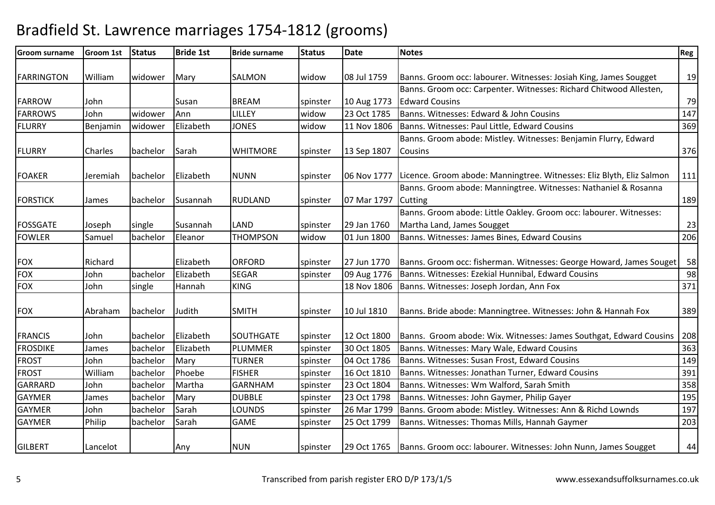| <b>Groom surname</b> | Groom 1st | <b>Status</b> | <b>Bride 1st</b> | <b>Bride surname</b> | <b>Status</b>     | <b>Date</b> | <b>Notes</b>                                                                      | Reg |
|----------------------|-----------|---------------|------------------|----------------------|-------------------|-------------|-----------------------------------------------------------------------------------|-----|
| <b>FARRINGTON</b>    | William   | widower       | Mary             | SALMON               | widow             | 08 Jul 1759 | Banns. Groom occ: labourer. Witnesses: Josiah King, James Sougget                 | 19  |
|                      |           |               |                  |                      |                   |             | Banns. Groom occ: Carpenter. Witnesses: Richard Chitwood Allesten,                |     |
| <b>FARROW</b>        |           |               |                  | <b>BREAM</b>         |                   |             | <b>Edward Cousins</b>                                                             | 79  |
|                      | John      | widower       | Susan            |                      | spinster<br>widow | 10 Aug 1773 |                                                                                   |     |
| <b>FARROWS</b>       | John      |               | Ann              | LILLEY               |                   | 23 Oct 1785 | Banns. Witnesses: Edward & John Cousins                                           | 147 |
| <b>FLURRY</b>        | Benjamin  | widower       | Elizabeth        | <b>JONES</b>         | widow             | 11 Nov 1806 | Banns. Witnesses: Paul Little, Edward Cousins                                     | 369 |
|                      |           |               |                  |                      |                   |             | Banns. Groom abode: Mistley. Witnesses: Benjamin Flurry, Edward                   |     |
| <b>FLURRY</b>        | Charles   | bachelor      | Sarah            | <b>WHITMORE</b>      | spinster          | 13 Sep 1807 | <b>Cousins</b>                                                                    | 376 |
| <b>FOAKER</b>        | Jeremiah  | bachelor      | Elizabeth        | <b>NUNN</b>          | spinster          |             | 06 Nov 1777 Licence. Groom abode: Manningtree. Witnesses: Eliz Blyth, Eliz Salmon | 111 |
|                      |           |               |                  |                      |                   |             | Banns. Groom abode: Manningtree. Witnesses: Nathaniel & Rosanna                   |     |
| <b>FORSTICK</b>      | James     | bachelor      | Susannah         | <b>RUDLAND</b>       | spinster          | 07 Mar 1797 | Cutting                                                                           | 189 |
|                      |           |               |                  |                      |                   |             | Banns. Groom abode: Little Oakley. Groom occ: labourer. Witnesses:                |     |
| <b>FOSSGATE</b>      | Joseph    | single        | Susannah         | <b>LAND</b>          | spinster          | 29 Jan 1760 | Martha Land, James Sougget                                                        | 23  |
| <b>FOWLER</b>        | Samuel    | bachelor      | Eleanor          | <b>THOMPSON</b>      | widow             | 01 Jun 1800 | Banns. Witnesses: James Bines, Edward Cousins                                     | 206 |
|                      |           |               |                  |                      |                   |             |                                                                                   |     |
| <b>FOX</b>           | Richard   |               | Elizabeth        | <b>ORFORD</b>        | spinster          | 27 Jun 1770 | Banns. Groom occ: fisherman. Witnesses: George Howard, James Souget               | 58  |
| <b>FOX</b>           | John      | bachelor      | Elizabeth        | <b>SEGAR</b>         | spinster          | 09 Aug 1776 | Banns. Witnesses: Ezekial Hunnibal, Edward Cousins                                | 98  |
| <b>FOX</b>           | John      | single        | Hannah           | <b>KING</b>          |                   | 18 Nov 1806 | Banns. Witnesses: Joseph Jordan, Ann Fox                                          | 371 |
| <b>FOX</b>           | Abraham   | bachelor      | Judith           | <b>SMITH</b>         | spinster          | 10 Jul 1810 | Banns. Bride abode: Manningtree. Witnesses: John & Hannah Fox                     | 389 |
| <b>FRANCIS</b>       | John      | bachelor      | Elizabeth        | <b>SOUTHGATE</b>     | spinster          | 12 Oct 1800 | Banns. Groom abode: Wix. Witnesses: James Southgat, Edward Cousins                | 208 |
| <b>FROSDIKE</b>      | James     | bachelor      | Elizabeth        | PLUMMER              | spinster          | 30 Oct 1805 | Banns. Witnesses: Mary Wale, Edward Cousins                                       | 363 |
| <b>FROST</b>         | John      | bachelor      | Mary             | <b>TURNER</b>        | spinster          | 04 Oct 1786 | Banns. Witnesses: Susan Frost, Edward Cousins                                     | 149 |
| <b>FROST</b>         | William   | bachelor      | Phoebe           | <b>FISHER</b>        | spinster          | 16 Oct 1810 | Banns. Witnesses: Jonathan Turner, Edward Cousins                                 | 391 |
| <b>GARRARD</b>       | John      | bachelor      | Martha           | <b>GARNHAM</b>       | spinster          | 23 Oct 1804 | Banns. Witnesses: Wm Walford, Sarah Smith                                         | 358 |
| <b>GAYMER</b>        | James     | bachelor      | Mary             | <b>DUBBLE</b>        | spinster          | 23 Oct 1798 | Banns. Witnesses: John Gaymer, Philip Gayer                                       | 195 |
| <b>GAYMER</b>        | John      | bachelor      | Sarah            | <b>LOUNDS</b>        | spinster          | 26 Mar 1799 | Banns. Groom abode: Mistley. Witnesses: Ann & Richd Lownds                        | 197 |
| <b>GAYMER</b>        | Philip    | bachelor      | Sarah            | <b>GAME</b>          | spinster          | 25 Oct 1799 | Banns. Witnesses: Thomas Mills, Hannah Gaymer                                     | 203 |
| <b>GILBERT</b>       | Lancelot  |               | Any              | <b>NUN</b>           | spinster          |             | 29 Oct 1765   Banns. Groom occ: labourer. Witnesses: John Nunn, James Sougget     | 44  |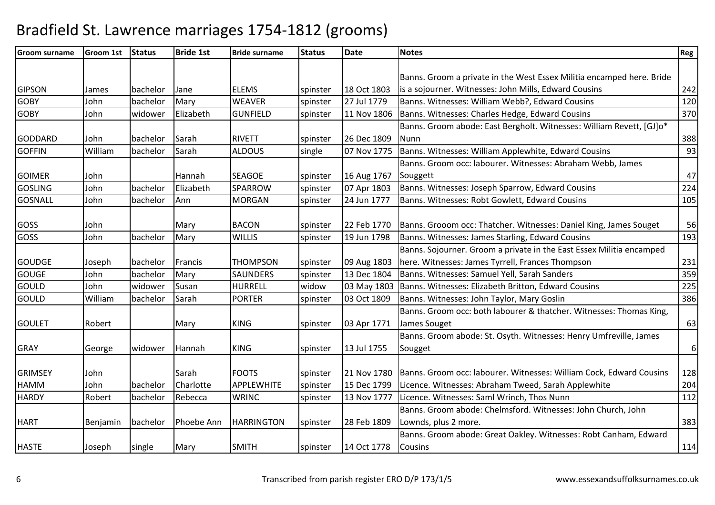| <b>Groom surname</b> | <b>Groom 1st</b> | <b>Status</b> | <b>Bride 1st</b> | <b>Bride surname</b> | <b>Status</b> | <b>Date</b> | <b>Notes</b>                                                          | Reg              |
|----------------------|------------------|---------------|------------------|----------------------|---------------|-------------|-----------------------------------------------------------------------|------------------|
|                      |                  |               |                  |                      |               |             |                                                                       |                  |
|                      |                  |               |                  |                      |               |             | Banns. Groom a private in the West Essex Militia encamped here. Bride |                  |
| <b>GIPSON</b>        | James            | bachelor      | Jane             | <b>ELEMS</b>         | spinster      | 18 Oct 1803 | is a sojourner. Witnesses: John Mills, Edward Cousins                 | 242              |
| <b>GOBY</b>          | John             | bachelor      | Mary             | <b>WEAVER</b>        | spinster      | 27 Jul 1779 | Banns. Witnesses: William Webb?, Edward Cousins                       | 120              |
| <b>GOBY</b>          | John             | widower       | Elizabeth        | <b>GUNFIELD</b>      | spinster      | 11 Nov 1806 | Banns. Witnesses: Charles Hedge, Edward Cousins                       | 370              |
|                      |                  |               |                  |                      |               |             | Banns. Groom abode: East Bergholt. Witnesses: William Revett, [GJ]o*  |                  |
| <b>GODDARD</b>       | John             | bachelor      | Sarah            | <b>RIVETT</b>        | spinster      | 26 Dec 1809 | <b>Nunn</b>                                                           | 388              |
| <b>GOFFIN</b>        | William          | bachelor      | Sarah            | <b>ALDOUS</b>        | single        | 07 Nov 1775 | Banns. Witnesses: William Applewhite, Edward Cousins                  | 93               |
|                      |                  |               |                  |                      |               |             | Banns. Groom occ: labourer. Witnesses: Abraham Webb, James            |                  |
| <b>GOIMER</b>        | John             |               | Hannah           | <b>SEAGOE</b>        | spinster      | 16 Aug 1767 | Souggett                                                              | 47               |
| <b>GOSLING</b>       | John             | bachelor      | Elizabeth        | SPARROW              | spinster      | 07 Apr 1803 | Banns. Witnesses: Joseph Sparrow, Edward Cousins                      | 224              |
| <b>GOSNALL</b>       | John             | bachelor      | Ann              | <b>MORGAN</b>        | spinster      | 24 Jun 1777 | Banns. Witnesses: Robt Gowlett, Edward Cousins                        | 105              |
|                      |                  |               |                  |                      |               |             |                                                                       |                  |
| <b>GOSS</b>          | John             |               | Mary             | <b>BACON</b>         | spinster      | 22 Feb 1770 | Banns. Grooom occ: Thatcher. Witnesses: Daniel King, James Souget     | 56               |
| GOSS                 | John             | bachelor      | Mary             | <b>WILLIS</b>        | spinster      | 19 Jun 1798 | Banns. Witnesses: James Starling, Edward Cousins                      | 193              |
|                      |                  |               |                  |                      |               |             | Banns. Sojourner. Groom a private in the East Essex Militia encamped  |                  |
| <b>GOUDGE</b>        | Joseph           | bachelor      | Francis          | <b>THOMPSON</b>      | spinster      | 09 Aug 1803 | here. Witnesses: James Tyrrell, Frances Thompson                      | 231              |
| <b>GOUGE</b>         | John             | bachelor      | Mary             | <b>SAUNDERS</b>      | spinster      | 13 Dec 1804 | Banns. Witnesses: Samuel Yell, Sarah Sanders                          | 359              |
| GOULD                | John             | widower       | Susan            | <b>HURRELL</b>       | widow         | 03 May 1803 | Banns. Witnesses: Elizabeth Britton, Edward Cousins                   | 225              |
| <b>GOULD</b>         | William          | bachelor      | Sarah            | <b>PORTER</b>        | spinster      | 03 Oct 1809 | Banns. Witnesses: John Taylor, Mary Goslin                            | 386              |
|                      |                  |               |                  |                      |               |             | Banns. Groom occ: both labourer & thatcher. Witnesses: Thomas King,   |                  |
| <b>GOULET</b>        | Robert           |               | Mary             | <b>KING</b>          | spinster      | 03 Apr 1771 | James Souget                                                          | 63               |
|                      |                  |               |                  |                      |               |             | Banns. Groom abode: St. Osyth. Witnesses: Henry Umfreville, James     |                  |
| <b>GRAY</b>          | George           | widower       | Hannah           | <b>KING</b>          | spinster      | 13 Jul 1755 | Sougget                                                               | $\boldsymbol{6}$ |
|                      |                  |               |                  |                      |               |             |                                                                       |                  |
| <b>GRIMSEY</b>       | John             |               | Sarah            | <b>FOOTS</b>         | spinster      | 21 Nov 1780 | Banns. Groom occ: labourer. Witnesses: William Cock, Edward Cousins   | 128              |
| <b>HAMM</b>          | John             | bachelor      | Charlotte        | APPLEWHITE           | spinster      | 15 Dec 1799 | Licence. Witnesses: Abraham Tweed, Sarah Applewhite                   | 204              |
| <b>HARDY</b>         | Robert           | bachelor      | Rebecca          | <b>WRINC</b>         | spinster      | 13 Nov 1777 | Licence. Witnesses: Saml Wrinch, Thos Nunn                            | 112              |
|                      |                  |               |                  |                      |               |             | Banns. Groom abode: Chelmsford. Witnesses: John Church, John          |                  |
| <b>HART</b>          | Benjamin         | bachelor      | Phoebe Ann       | <b>HARRINGTON</b>    | spinster      | 28 Feb 1809 | Lownds, plus 2 more.                                                  | 383              |
|                      |                  |               |                  |                      |               |             | Banns. Groom abode: Great Oakley. Witnesses: Robt Canham, Edward      |                  |
| <b>HASTE</b>         | Joseph           | single        | Mary             | <b>SMITH</b>         | spinster      | 14 Oct 1778 | Cousins                                                               | 114              |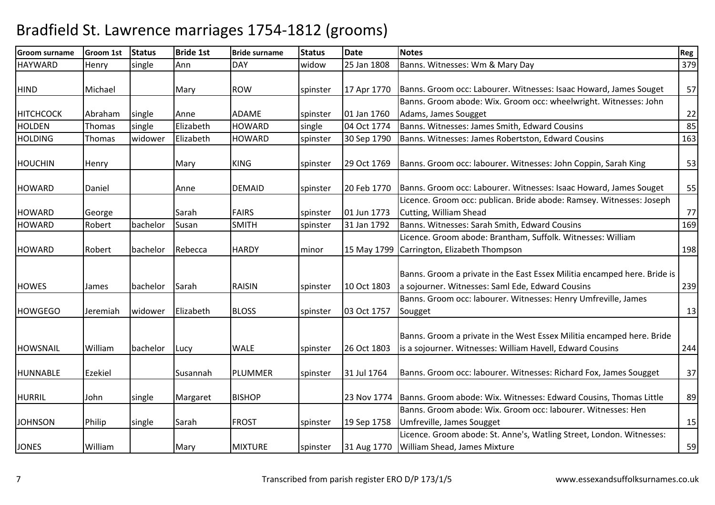| <b>Groom surname</b> | <b>Groom 1st</b> | <b>Status</b> | <b>Bride 1st</b> | <b>Bride surname</b> | <b>Status</b> | <b>Date</b> | <b>Notes</b>                                                                                                                       | Reg |
|----------------------|------------------|---------------|------------------|----------------------|---------------|-------------|------------------------------------------------------------------------------------------------------------------------------------|-----|
| <b>HAYWARD</b>       | Henry            | single        | Ann              | <b>DAY</b>           | widow         | 25 Jan 1808 | Banns. Witnesses: Wm & Mary Day                                                                                                    | 379 |
|                      |                  |               |                  |                      |               |             |                                                                                                                                    |     |
| <b>HIND</b>          | Michael          |               | Mary             | <b>ROW</b>           | spinster      | 17 Apr 1770 | Banns. Groom occ: Labourer. Witnesses: Isaac Howard, James Souget                                                                  | 57  |
|                      |                  |               |                  |                      |               |             | Banns. Groom abode: Wix. Groom occ: wheelwright. Witnesses: John                                                                   |     |
| <b>HITCHCOCK</b>     | Abraham          | single        | Anne             | <b>ADAME</b>         | spinster      | 01 Jan 1760 | Adams, James Sougget                                                                                                               | 22  |
| <b>HOLDEN</b>        | Thomas           | single        | Elizabeth        | <b>HOWARD</b>        | single        | 04 Oct 1774 | Banns. Witnesses: James Smith, Edward Cousins                                                                                      | 85  |
| <b>HOLDING</b>       | Thomas           | widower       | Elizabeth        | <b>HOWARD</b>        | spinster      | 30 Sep 1790 | Banns. Witnesses: James Robertston, Edward Cousins                                                                                 | 163 |
| <b>HOUCHIN</b>       | Henry            |               | Mary             | <b>KING</b>          | spinster      | 29 Oct 1769 | Banns. Groom occ: labourer. Witnesses: John Coppin, Sarah King                                                                     | 53  |
| <b>HOWARD</b>        | Daniel           |               | Anne             | <b>DEMAID</b>        | spinster      | 20 Feb 1770 | Banns. Groom occ: Labourer. Witnesses: Isaac Howard, James Souget                                                                  | 55  |
|                      |                  |               |                  |                      |               |             | Licence. Groom occ: publican. Bride abode: Ramsey. Witnesses: Joseph                                                               |     |
| <b>HOWARD</b>        | George           |               | Sarah            | <b>FAIRS</b>         | spinster      | 01 Jun 1773 | Cutting, William Shead                                                                                                             | 77  |
| <b>HOWARD</b>        | Robert           | bachelor      | Susan            | <b>SMITH</b>         | spinster      | 31 Jan 1792 | Banns. Witnesses: Sarah Smith, Edward Cousins                                                                                      | 169 |
|                      |                  |               |                  |                      |               |             | Licence. Groom abode: Brantham, Suffolk. Witnesses: William                                                                        |     |
| <b>HOWARD</b>        | Robert           | bachelor      | Rebecca          | <b>HARDY</b>         | minor         |             | 15 May 1799 Carrington, Elizabeth Thompson                                                                                         | 198 |
| <b>HOWES</b>         | James            | bachelor      | Sarah            | <b>RAISIN</b>        | spinster      | 10 Oct 1803 | Banns. Groom a private in the East Essex Militia encamped here. Bride is<br>a sojourner. Witnesses: Saml Ede, Edward Cousins       | 239 |
|                      |                  |               |                  |                      |               |             | Banns. Groom occ: labourer. Witnesses: Henry Umfreville, James                                                                     |     |
| <b>HOWGEGO</b>       | Jeremiah         | widower       | Elizabeth        | <b>BLOSS</b>         | spinster      | 03 Oct 1757 | Sougget                                                                                                                            | 13  |
| <b>HOWSNAIL</b>      | William          | bachelor      | Lucy             | <b>WALE</b>          | spinster      | 26 Oct 1803 | Banns. Groom a private in the West Essex Militia encamped here. Bride<br>is a sojourner. Witnesses: William Havell, Edward Cousins | 244 |
|                      |                  |               |                  |                      |               |             |                                                                                                                                    |     |
| <b>HUNNABLE</b>      | Ezekiel          |               | Susannah         | PLUMMER              | spinster      | 31 Jul 1764 | Banns. Groom occ: labourer. Witnesses: Richard Fox, James Sougget                                                                  | 37  |
| <b>HURRIL</b>        | John             | single        | Margaret         | <b>BISHOP</b>        |               |             | 23 Nov 1774   Banns. Groom abode: Wix. Witnesses: Edward Cousins, Thomas Little                                                    | 89  |
|                      |                  |               |                  |                      |               |             | Banns. Groom abode: Wix. Groom occ: labourer. Witnesses: Hen                                                                       |     |
| <b>JOHNSON</b>       | Philip           | single        | Sarah            | <b>FROST</b>         | spinster      | 19 Sep 1758 | Umfreville, James Sougget                                                                                                          | 15  |
|                      |                  |               |                  |                      |               |             | Licence. Groom abode: St. Anne's, Watling Street, London. Witnesses:                                                               |     |
| <b>JONES</b>         | William          |               | Mary             | <b>MIXTURE</b>       | spinster      |             | 31 Aug 1770   William Shead, James Mixture                                                                                         | 59  |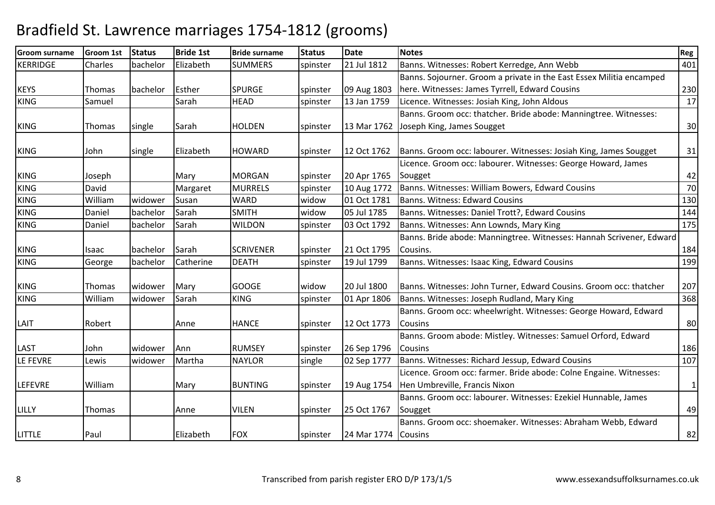| <b>Groom surname</b> | Groom 1st     | <b>Status</b> | <b>Bride 1st</b> | <b>Bride surname</b> | <b>Status</b> | <b>Date</b>         | <b>Notes</b>                                                                      | Reg          |
|----------------------|---------------|---------------|------------------|----------------------|---------------|---------------------|-----------------------------------------------------------------------------------|--------------|
| <b>KERRIDGE</b>      | Charles       | bachelor      | Elizabeth        | <b>SUMMERS</b>       | spinster      | 21 Jul 1812         | Banns. Witnesses: Robert Kerredge, Ann Webb                                       | 401          |
|                      |               |               |                  |                      |               |                     | Banns. Sojourner. Groom a private in the East Essex Militia encamped              |              |
| <b>KEYS</b>          | Thomas        | bachelor      | Esther           | <b>SPURGE</b>        | spinster      | 09 Aug 1803         | here. Witnesses: James Tyrrell, Edward Cousins                                    | 230          |
| <b>KING</b>          | Samuel        |               | Sarah            | <b>HEAD</b>          | spinster      | 13 Jan 1759         | Licence. Witnesses: Josiah King, John Aldous                                      | 17           |
|                      |               |               |                  |                      |               |                     | Banns. Groom occ: thatcher. Bride abode: Manningtree. Witnesses:                  |              |
| <b>KING</b>          | Thomas        | single        | Sarah            | <b>HOLDEN</b>        | spinster      | 13 Mar 1762         | Joseph King, James Sougget                                                        | 30           |
| <b>KING</b>          | John          | single        | Elizabeth        | <b>HOWARD</b>        | spinster      | 12 Oct 1762         | Banns. Groom occ: labourer. Witnesses: Josiah King, James Sougget                 | 31           |
|                      |               |               |                  |                      |               |                     | Licence. Groom occ: labourer. Witnesses: George Howard, James                     |              |
| <b>KING</b>          | Joseph        |               | Mary             | <b>MORGAN</b>        | spinster      | 20 Apr 1765         | Sougget                                                                           | 42           |
| <b>KING</b>          | David         |               | Margaret         | <b>MURRELS</b>       | spinster      | 10 Aug 1772         | Banns. Witnesses: William Bowers, Edward Cousins                                  | 70           |
| <b>KING</b>          | William       | widower       | Susan            | <b>WARD</b>          | widow         | 01 Oct 1781         | Banns. Witness: Edward Cousins                                                    | 130          |
| <b>KING</b>          | Daniel        | bachelor      | Sarah            | <b>SMITH</b>         | widow         | 05 Jul 1785         | Banns. Witnesses: Daniel Trott?, Edward Cousins                                   | 144          |
| <b>KING</b>          | Daniel        | bachelor      | Sarah            | <b>WILDON</b>        | spinster      | 03 Oct 1792         | Banns. Witnesses: Ann Lownds, Mary King                                           | 175          |
|                      |               |               |                  |                      |               |                     | Banns. Bride abode: Manningtree. Witnesses: Hannah Scrivener, Edward              |              |
| <b>KING</b>          | Isaac         | bachelor      | Sarah            | <b>SCRIVENER</b>     | spinster      | 21 Oct 1795         | Cousins.                                                                          | 184          |
| <b>KING</b>          | George        | bachelor      | Catherine        | <b>DEATH</b>         | spinster      | 19 Jul 1799         | Banns. Witnesses: Isaac King, Edward Cousins                                      | 199          |
| <b>KING</b>          | <b>Thomas</b> | widower       | Mary             | <b>GOOGE</b>         | widow         | 20 Jul 1800         | Banns. Witnesses: John Turner, Edward Cousins. Groom occ: thatcher                | 207          |
| <b>KING</b>          | William       | widower       | Sarah            | <b>KING</b>          | spinster      | 01 Apr 1806         | Banns. Witnesses: Joseph Rudland, Mary King                                       | 368          |
| LAIT                 | Robert        |               | Anne             | <b>HANCE</b>         | spinster      | 12 Oct 1773         | Banns. Groom occ: wheelwright. Witnesses: George Howard, Edward<br><b>Cousins</b> | 80           |
|                      |               |               |                  |                      |               |                     | Banns. Groom abode: Mistley. Witnesses: Samuel Orford, Edward                     |              |
| <b>LAST</b>          | John          | widower       | Ann              | <b>RUMSEY</b>        | spinster      | 26 Sep 1796         | <b>Cousins</b>                                                                    | 186          |
| LE FEVRE             | Lewis         | widower       | Martha           | <b>NAYLOR</b>        | single        | 02 Sep 1777         | Banns. Witnesses: Richard Jessup, Edward Cousins                                  | 107          |
|                      |               |               |                  |                      |               |                     | Licence. Groom occ: farmer. Bride abode: Colne Engaine. Witnesses:                |              |
| <b>LEFEVRE</b>       | William       |               | Mary             | <b>BUNTING</b>       | spinster      | 19 Aug 1754         | Hen Umbreville, Francis Nixon                                                     | $\mathbf{1}$ |
|                      |               |               |                  |                      |               |                     | Banns. Groom occ: labourer. Witnesses: Ezekiel Hunnable, James                    |              |
| LILLY                | Thomas        |               | Anne             | <b>VILEN</b>         | spinster      | 25 Oct 1767         | Sougget                                                                           | 49           |
|                      |               |               |                  |                      |               |                     | Banns. Groom occ: shoemaker. Witnesses: Abraham Webb, Edward                      |              |
| <b>LITTLE</b>        | Paul          |               | Elizabeth        | <b>FOX</b>           | spinster      | 24 Mar 1774 Cousins |                                                                                   | 82           |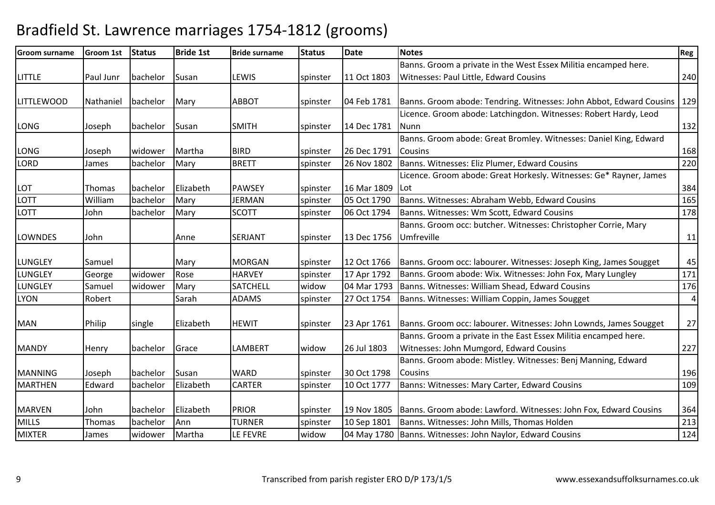| <b>Groom surname</b> | <b>Groom 1st</b> | Status   | <b>Bride 1st</b> | <b>Bride surname</b> | <b>Status</b> | <b>Date</b> | <b>Notes</b>                                                        | Reg            |
|----------------------|------------------|----------|------------------|----------------------|---------------|-------------|---------------------------------------------------------------------|----------------|
|                      |                  |          |                  |                      |               |             | Banns. Groom a private in the West Essex Militia encamped here.     |                |
| <b>LITTLE</b>        | Paul Junr        | bachelor | Susan            | <b>LEWIS</b>         | spinster      | 11 Oct 1803 | Witnesses: Paul Little, Edward Cousins                              | 240            |
|                      |                  |          |                  |                      |               |             |                                                                     |                |
| <b>LITTLEWOOD</b>    | Nathaniel        | bachelor | Mary             | <b>ABBOT</b>         | spinster      | 04 Feb 1781 | Banns. Groom abode: Tendring. Witnesses: John Abbot, Edward Cousins | 129            |
|                      |                  |          |                  |                      |               |             | Licence. Groom abode: Latchingdon. Witnesses: Robert Hardy, Leod    |                |
| <b>LONG</b>          | Joseph           | bachelor | Susan            | <b>SMITH</b>         | spinster      | 14 Dec 1781 | Nunn                                                                | 132            |
|                      |                  |          |                  |                      |               |             | Banns. Groom abode: Great Bromley. Witnesses: Daniel King, Edward   |                |
| <b>LONG</b>          | Joseph           | widower  | Martha           | <b>BIRD</b>          | spinster      | 26 Dec 1791 | <b>Cousins</b>                                                      | 168            |
| <b>LORD</b>          | James            | bachelor | Mary             | <b>BRETT</b>         | spinster      | 26 Nov 1802 | Banns. Witnesses: Eliz Plumer, Edward Cousins                       | 220            |
|                      |                  |          |                  |                      |               |             | Licence. Groom abode: Great Horkesly. Witnesses: Ge* Rayner, James  |                |
| <b>LOT</b>           | <b>Thomas</b>    | bachelor | Elizabeth        | <b>PAWSEY</b>        | spinster      | 16 Mar 1809 | Lot                                                                 | 384            |
| <b>LOTT</b>          | William          | bachelor | Mary             | <b>JERMAN</b>        | spinster      | 05 Oct 1790 | Banns. Witnesses: Abraham Webb, Edward Cousins                      | 165            |
| <b>LOTT</b>          | John             | bachelor | Mary             | <b>SCOTT</b>         | spinster      | 06 Oct 1794 | Banns. Witnesses: Wm Scott, Edward Cousins                          | 178            |
|                      |                  |          |                  |                      |               |             | Banns. Groom occ: butcher. Witnesses: Christopher Corrie, Mary      |                |
| <b>LOWNDES</b>       | John             |          | Anne             | <b>SERJANT</b>       | spinster      | 13 Dec 1756 | Umfreville                                                          | 11             |
|                      |                  |          |                  |                      |               |             |                                                                     |                |
| <b>LUNGLEY</b>       | Samuel           |          | Mary             | <b>MORGAN</b>        | spinster      | 12 Oct 1766 | Banns. Groom occ: labourer. Witnesses: Joseph King, James Sougget   | 45             |
| LUNGLEY              | George           | widower  | Rose             | <b>HARVEY</b>        | spinster      | 17 Apr 1792 | Banns. Groom abode: Wix. Witnesses: John Fox, Mary Lungley          | 171            |
| <b>LUNGLEY</b>       | Samuel           | widower  | Mary             | <b>SATCHELL</b>      | widow         | 04 Mar 1793 | Banns. Witnesses: William Shead, Edward Cousins                     | 176            |
| <b>LYON</b>          | Robert           |          | Sarah            | <b>ADAMS</b>         | spinster      | 27 Oct 1754 | Banns. Witnesses: William Coppin, James Sougget                     | $\overline{a}$ |
| <b>MAN</b>           | Philip           | single   | Elizabeth        | <b>HEWIT</b>         | spinster      | 23 Apr 1761 | Banns. Groom occ: labourer. Witnesses: John Lownds, James Sougget   | 27             |
|                      |                  |          |                  |                      |               |             | Banns. Groom a private in the East Essex Militia encamped here.     |                |
| <b>MANDY</b>         |                  | bachelor | Grace            | <b>LAMBERT</b>       | widow         | 26 Jul 1803 | Witnesses: John Mumgord, Edward Cousins                             | 227            |
|                      | Henry            |          |                  |                      |               |             | Banns. Groom abode: Mistley. Witnesses: Benj Manning, Edward        |                |
| <b>MANNING</b>       | Joseph           | bachelor | Susan            | <b>WARD</b>          | spinster      | 30 Oct 1798 | <b>Cousins</b>                                                      | 196            |
| <b>MARTHEN</b>       | Edward           | bachelor | Elizabeth        | <b>CARTER</b>        | spinster      | 10 Oct 1777 | Banns: Witnesses: Mary Carter, Edward Cousins                       | 109            |
|                      |                  |          |                  |                      |               |             |                                                                     |                |
| <b>MARVEN</b>        | John             | bachelor | Elizabeth        | <b>PRIOR</b>         | spinster      | 19 Nov 1805 | Banns. Groom abode: Lawford. Witnesses: John Fox, Edward Cousins    | 364            |
| <b>MILLS</b>         | <b>Thomas</b>    | bachelor | Ann              | <b>TURNER</b>        | spinster      | 10 Sep 1801 | Banns. Witnesses: John Mills, Thomas Holden                         | 213            |
| <b>MIXTER</b>        | James            | widower  | Martha           | LE FEVRE             | widow         |             | 04 May 1780 Banns. Witnesses: John Naylor, Edward Cousins           | 124            |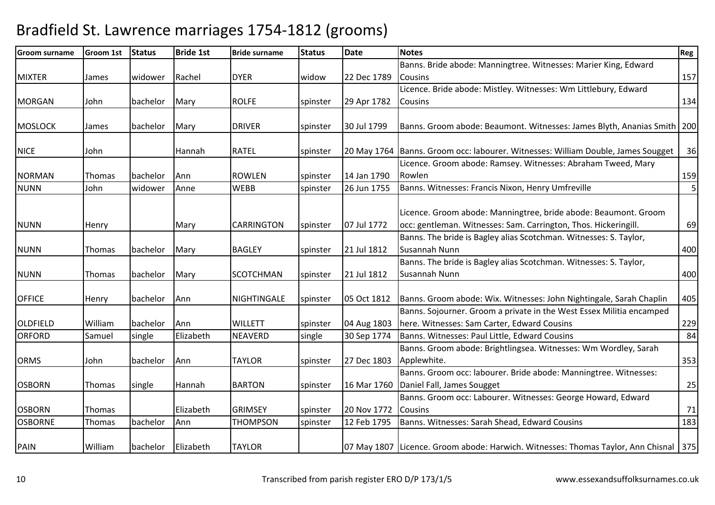| <b>Groom surname</b> | <b>Groom 1st</b> | <b>Status</b> | <b>Bride 1st</b> | <b>Bride surname</b> | <b>Status</b> | <b>Date</b> | <b>Notes</b>                                                                           | Reg |
|----------------------|------------------|---------------|------------------|----------------------|---------------|-------------|----------------------------------------------------------------------------------------|-----|
|                      |                  |               |                  |                      |               |             | Banns. Bride abode: Manningtree. Witnesses: Marier King, Edward                        |     |
| <b>MIXTER</b>        | James            | widower       | Rachel           | <b>DYER</b>          | widow         | 22 Dec 1789 | <b>Cousins</b>                                                                         | 157 |
|                      |                  |               |                  |                      |               |             | Licence. Bride abode: Mistley. Witnesses: Wm Littlebury, Edward                        |     |
| <b>MORGAN</b>        | John             | bachelor      | Mary             | <b>ROLFE</b>         | spinster      | 29 Apr 1782 | Cousins                                                                                | 134 |
|                      |                  |               |                  |                      |               |             |                                                                                        |     |
| <b>MOSLOCK</b>       | James            | bachelor      | Mary             | <b>DRIVER</b>        | spinster      | 30 Jul 1799 | Banns. Groom abode: Beaumont. Witnesses: James Blyth, Ananias Smith   200              |     |
| <b>NICE</b>          | John             |               | Hannah           | <b>RATEL</b>         | spinster      |             | 20 May 1764 Banns. Groom occ: labourer. Witnesses: William Double, James Sougget       | 36  |
|                      |                  |               |                  |                      |               |             | Licence. Groom abode: Ramsey. Witnesses: Abraham Tweed, Mary                           |     |
| <b>NORMAN</b>        | <b>Thomas</b>    | bachelor      | Ann              | <b>ROWLEN</b>        | spinster      | 14 Jan 1790 | Rowlen                                                                                 | 159 |
| <b>NUNN</b>          | John             | widower       | Anne             | <b>WEBB</b>          | spinster      | 26 Jun 1755 | Banns. Witnesses: Francis Nixon, Henry Umfreville                                      | 5   |
|                      |                  |               |                  |                      |               |             |                                                                                        |     |
|                      |                  |               |                  |                      |               |             | Licence. Groom abode: Manningtree, bride abode: Beaumont. Groom                        |     |
| <b>NUNN</b>          | Henry            |               | Mary             | <b>CARRINGTON</b>    | spinster      | 07 Jul 1772 | occ: gentleman. Witnesses: Sam. Carrington, Thos. Hickeringill.                        | 69  |
|                      |                  |               |                  |                      |               |             | Banns. The bride is Bagley alias Scotchman. Witnesses: S. Taylor,                      |     |
| <b>NUNN</b>          | Thomas           | bachelor      | Mary             | <b>BAGLEY</b>        | spinster      | 21 Jul 1812 | Susannah Nunn                                                                          | 400 |
|                      |                  |               |                  |                      |               |             | Banns. The bride is Bagley alias Scotchman. Witnesses: S. Taylor,                      |     |
| <b>NUNN</b>          | Thomas           | bachelor      | Mary             | <b>SCOTCHMAN</b>     | spinster      | 21 Jul 1812 | Susannah Nunn                                                                          | 400 |
| <b>OFFICE</b>        | Henry            | bachelor      | Ann              | NIGHTINGALE          | spinster      | 05 Oct 1812 | Banns. Groom abode: Wix. Witnesses: John Nightingale, Sarah Chaplin                    | 405 |
|                      |                  |               |                  |                      |               |             | Banns. Sojourner. Groom a private in the West Essex Militia encamped                   |     |
| <b>OLDFIELD</b>      | William          | bachelor      | Ann              | <b>WILLETT</b>       | spinster      | 04 Aug 1803 | here. Witnesses: Sam Carter, Edward Cousins                                            | 229 |
| <b>ORFORD</b>        | Samuel           | single        | Elizabeth        | NEAVERD              | single        | 30 Sep 1774 | Banns. Witnesses: Paul Little, Edward Cousins                                          | 84  |
|                      |                  |               |                  |                      |               |             | Banns. Groom abode: Brightlingsea. Witnesses: Wm Wordley, Sarah                        |     |
| <b>ORMS</b>          | John             | bachelor      | Ann              | <b>TAYLOR</b>        | spinster      | 27 Dec 1803 | Applewhite.                                                                            | 353 |
|                      |                  |               |                  |                      |               |             | Banns. Groom occ: labourer. Bride abode: Manningtree. Witnesses:                       |     |
| <b>OSBORN</b>        | Thomas           | single        | Hannah           | <b>BARTON</b>        | spinster      | 16 Mar 1760 | Daniel Fall, James Sougget                                                             | 25  |
|                      |                  |               |                  |                      |               |             | Banns. Groom occ: Labourer. Witnesses: George Howard, Edward                           |     |
| <b>OSBORN</b>        | Thomas           |               | Elizabeth        | <b>GRIMSEY</b>       | spinster      | 20 Nov 1772 | <b>Cousins</b>                                                                         | 71  |
| <b>OSBORNE</b>       | Thomas           | bachelor      | Ann              | <b>THOMPSON</b>      | spinster      | 12 Feb 1795 | Banns. Witnesses: Sarah Shead, Edward Cousins                                          | 183 |
| PAIN                 | William          | bachelor      | Elizabeth        | <b>TAYLOR</b>        |               |             | 07 May 1807 Licence. Groom abode: Harwich. Witnesses: Thomas Taylor, Ann Chisnal   375 |     |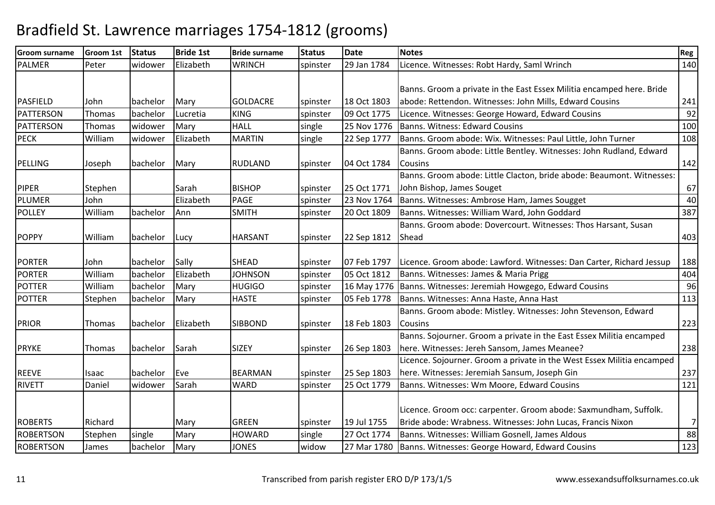| <b>Groom surname</b> | <b>Groom 1st</b> | <b>Status</b> | <b>Bride 1st</b> | <b>Bride surname</b> | <b>Status</b> | <b>Date</b> | <b>Notes</b>                                                           | Reg            |
|----------------------|------------------|---------------|------------------|----------------------|---------------|-------------|------------------------------------------------------------------------|----------------|
| <b>PALMER</b>        | Peter            | widower       | Elizabeth        | <b>WRINCH</b>        | spinster      | 29 Jan 1784 | Licence. Witnesses: Robt Hardy, Saml Wrinch                            | 140            |
|                      |                  |               |                  |                      |               |             |                                                                        |                |
|                      |                  |               |                  |                      |               |             | Banns. Groom a private in the East Essex Militia encamped here. Bride  |                |
| <b>PASFIELD</b>      | John             | bachelor      | Mary             | <b>GOLDACRE</b>      | spinster      | 18 Oct 1803 | abode: Rettendon. Witnesses: John Mills, Edward Cousins                | 241            |
| PATTERSON            | Thomas           | bachelor      | Lucretia         | <b>KING</b>          | spinster      | 09 Oct 1775 | Licence. Witnesses: George Howard, Edward Cousins                      | 92             |
| <b>PATTERSON</b>     | Thomas           | widower       | Mary             | <b>HALL</b>          | single        | 25 Nov 1776 | Banns. Witness: Edward Cousins                                         | 100            |
| <b>PECK</b>          | William          | widower       | Elizabeth        | <b>MARTIN</b>        | single        | 22 Sep 1777 | Banns. Groom abode: Wix. Witnesses: Paul Little, John Turner           | 108            |
|                      |                  |               |                  |                      |               |             | Banns. Groom abode: Little Bentley. Witnesses: John Rudland, Edward    |                |
| <b>PELLING</b>       | Joseph           | bachelor      | Mary             | <b>RUDLAND</b>       | spinster      | 04 Oct 1784 | Cousins                                                                | 142            |
|                      |                  |               |                  |                      |               |             | Banns. Groom abode: Little Clacton, bride abode: Beaumont. Witnesses:  |                |
| <b>PIPER</b>         | Stephen          |               | Sarah            | <b>BISHOP</b>        | spinster      | 25 Oct 1771 | John Bishop, James Souget                                              | 67             |
| <b>PLUMER</b>        | John             |               | Elizabeth        | <b>PAGE</b>          | spinster      | 23 Nov 1764 | Banns. Witnesses: Ambrose Ham, James Sougget                           | 40             |
| <b>POLLEY</b>        | William          | bachelor      | Ann              | <b>SMITH</b>         | spinster      | 20 Oct 1809 | Banns. Witnesses: William Ward, John Goddard                           | 387            |
|                      |                  |               |                  |                      |               |             | Banns. Groom abode: Dovercourt. Witnesses: Thos Harsant, Susan         |                |
| <b>POPPY</b>         | William          | bachelor      | Lucy             | <b>HARSANT</b>       | spinster      | 22 Sep 1812 | Shead                                                                  | 403            |
|                      |                  |               |                  |                      |               |             |                                                                        |                |
| <b>PORTER</b>        | John             | bachelor      | Sally            | <b>SHEAD</b>         | spinster      | 07 Feb 1797 | Licence. Groom abode: Lawford. Witnesses: Dan Carter, Richard Jessup   | 188            |
| <b>PORTER</b>        | William          | bachelor      | Elizabeth        | <b>JOHNSON</b>       | spinster      | 05 Oct 1812 | Banns. Witnesses: James & Maria Prigg                                  | 404            |
| <b>POTTER</b>        | William          | bachelor      | Mary             | <b>HUGIGO</b>        | spinster      |             | 16 May 1776   Banns. Witnesses: Jeremiah Howgego, Edward Cousins       | 96             |
| <b>POTTER</b>        | Stephen          | bachelor      | Mary             | <b>HASTE</b>         | spinster      | 05 Feb 1778 | Banns. Witnesses: Anna Haste, Anna Hast                                | 113            |
|                      |                  |               |                  |                      |               |             | Banns. Groom abode: Mistley. Witnesses: John Stevenson, Edward         |                |
| <b>PRIOR</b>         | Thomas           | bachelor      | Elizabeth        | <b>SIBBOND</b>       | spinster      | 18 Feb 1803 | Cousins                                                                | 223            |
|                      |                  |               |                  |                      |               |             | Banns. Sojourner. Groom a private in the East Essex Militia encamped   |                |
| <b>PRYKE</b>         | Thomas           | bachelor      | Sarah            | <b>SIZEY</b>         | spinster      | 26 Sep 1803 | here. Witnesses: Jereh Sansom, James Meanee?                           | 238            |
|                      |                  |               |                  |                      |               |             | Licence. Sojourner. Groom a private in the West Essex Militia encamped |                |
| <b>REEVE</b>         | Isaac            | bachelor      | Eve              | <b>BEARMAN</b>       | spinster      | 25 Sep 1803 | here. Witnesses: Jeremiah Sansum, Joseph Gin                           | 237            |
| <b>RIVETT</b>        | Daniel           | widower       | Sarah            | <b>WARD</b>          | spinster      | 25 Oct 1779 | Banns. Witnesses: Wm Moore, Edward Cousins                             | 121            |
|                      |                  |               |                  |                      |               |             |                                                                        |                |
|                      |                  |               |                  |                      |               |             | Licence. Groom occ: carpenter. Groom abode: Saxmundham, Suffolk.       |                |
| <b>ROBERTS</b>       | Richard          |               | Mary             | <b>GREEN</b>         | spinster      | 19 Jul 1755 | Bride abode: Wrabness. Witnesses: John Lucas, Francis Nixon            | $\overline{7}$ |
| <b>ROBERTSON</b>     | Stephen          | single        | Mary             | <b>HOWARD</b>        | single        | 27 Oct 1774 | Banns. Witnesses: William Gosnell, James Aldous                        | 88             |
| <b>ROBERTSON</b>     | James            | bachelor      | Mary             | <b>JONES</b>         | widow         | 27 Mar 1780 | Banns. Witnesses: George Howard, Edward Cousins                        | 123            |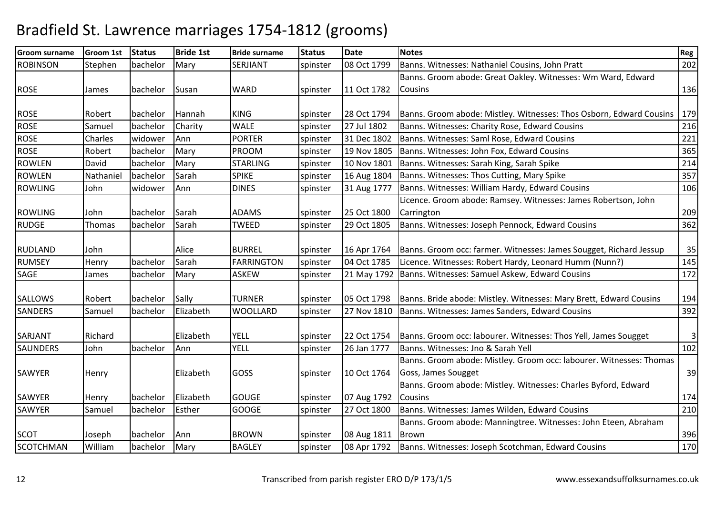| <b>Groom surname</b> | Groom 1st | <b>Status</b> | <b>Bride 1st</b> | <b>Bride surname</b> | <b>Status</b> | <b>Date</b> | <b>Notes</b>                                                        | Reg          |
|----------------------|-----------|---------------|------------------|----------------------|---------------|-------------|---------------------------------------------------------------------|--------------|
| <b>ROBINSON</b>      | Stephen   | bachelor      | Mary             | <b>SERJIANT</b>      | spinster      | 08 Oct 1799 | Banns. Witnesses: Nathaniel Cousins, John Pratt                     | 202          |
|                      |           |               |                  |                      |               |             | Banns. Groom abode: Great Oakley. Witnesses: Wm Ward, Edward        |              |
| <b>ROSE</b>          | James     | bachelor      | Susan            | <b>WARD</b>          | spinster      | 11 Oct 1782 | <b>Cousins</b>                                                      | 136          |
|                      |           |               |                  |                      |               |             |                                                                     |              |
| <b>ROSE</b>          | Robert    | bachelor      | Hannah           | <b>KING</b>          | spinster      | 28 Oct 1794 | Banns. Groom abode: Mistley. Witnesses: Thos Osborn, Edward Cousins | 179          |
| <b>ROSE</b>          | Samuel    | bachelor      | Charity          | <b>WALE</b>          | spinster      | 27 Jul 1802 | Banns. Witnesses: Charity Rose, Edward Cousins                      | 216          |
| <b>ROSE</b>          | Charles   | widower       | Ann              | <b>PORTER</b>        | spinster      | 31 Dec 1802 | Banns. Witnesses: Saml Rose, Edward Cousins                         | 221          |
| <b>ROSE</b>          | Robert    | bachelor      | Mary             | <b>PROOM</b>         | spinster      | 19 Nov 1805 | Banns. Witnesses: John Fox, Edward Cousins                          | 365          |
| <b>ROWLEN</b>        | David     | bachelor      | Mary             | <b>STARLING</b>      | spinster      | 10 Nov 1801 | Banns. Witnesses: Sarah King, Sarah Spike                           | 214          |
| <b>ROWLEN</b>        | Nathaniel | bachelor      | Sarah            | <b>SPIKE</b>         | spinster      | 16 Aug 1804 | Banns. Witnesses: Thos Cutting, Mary Spike                          | 357          |
| <b>ROWLING</b>       | John      | widower       | Ann              | <b>DINES</b>         | spinster      | 31 Aug 1777 | Banns. Witnesses: William Hardy, Edward Cousins                     | 106          |
|                      |           |               |                  |                      |               |             | Licence. Groom abode: Ramsey. Witnesses: James Robertson, John      |              |
| <b>ROWLING</b>       | John      | bachelor      | Sarah            | <b>ADAMS</b>         | spinster      | 25 Oct 1800 | Carrington                                                          | 209          |
| <b>RUDGE</b>         | Thomas    | bachelor      | Sarah            | <b>TWEED</b>         | spinster      | 29 Oct 1805 | Banns. Witnesses: Joseph Pennock, Edward Cousins                    | 362          |
|                      |           |               |                  |                      |               |             |                                                                     |              |
| <b>RUDLAND</b>       | John      |               | Alice            | <b>BURREL</b>        | spinster      | 16 Apr 1764 | Banns. Groom occ: farmer. Witnesses: James Sougget, Richard Jessup  | 35           |
| <b>RUMSEY</b>        | Henry     | bachelor      | Sarah            | <b>FARRINGTON</b>    | spinster      | 04 Oct 1785 | Licence. Witnesses: Robert Hardy, Leonard Humm (Nunn?)              | 145          |
| <b>SAGE</b>          | James     | bachelor      | Mary             | <b>ASKEW</b>         | spinster      | 21 May 1792 | Banns. Witnesses: Samuel Askew, Edward Cousins                      | 172          |
|                      |           |               |                  |                      |               |             |                                                                     |              |
| SALLOWS              | Robert    | bachelor      | Sally            | <b>TURNER</b>        | spinster      | 05 Oct 1798 | Banns. Bride abode: Mistley. Witnesses: Mary Brett, Edward Cousins  | 194          |
| <b>SANDERS</b>       | Samuel    | bachelor      | Elizabeth        | <b>WOOLLARD</b>      | spinster      | 27 Nov 1810 | Banns. Witnesses: James Sanders, Edward Cousins                     | 392          |
|                      |           |               |                  |                      |               |             |                                                                     |              |
| SARJANT              | Richard   |               | Elizabeth        | <b>YELL</b>          | spinster      | 22 Oct 1754 | Banns. Groom occ: labourer. Witnesses: Thos Yell, James Sougget     | $\mathbf{3}$ |
| <b>SAUNDERS</b>      | John      | bachelor      | Ann              | <b>YELL</b>          | spinster      | 26 Jan 1777 | Banns. Witnesses: Jno & Sarah Yell                                  | 102          |
|                      |           |               |                  |                      |               |             | Banns. Groom abode: Mistley. Groom occ: labourer. Witnesses: Thomas |              |
| SAWYER               | Henry     |               | Elizabeth        | GOSS                 | spinster      | 10 Oct 1764 | Goss, James Sougget                                                 | 39           |
|                      |           |               |                  |                      |               |             | Banns. Groom abode: Mistley. Witnesses: Charles Byford, Edward      |              |
| SAWYER               | Henry     | bachelor      | Elizabeth        | <b>GOUGE</b>         | spinster      | 07 Aug 1792 | <b>Cousins</b>                                                      | 174          |
| <b>SAWYER</b>        | Samuel    | bachelor      | Esther           | <b>GOOGE</b>         | spinster      | 27 Oct 1800 | Banns. Witnesses: James Wilden, Edward Cousins                      | 210          |
|                      |           |               |                  |                      |               |             | Banns. Groom abode: Manningtree. Witnesses: John Eteen, Abraham     |              |
| <b>SCOT</b>          | Joseph    | bachelor      | Ann              | <b>BROWN</b>         | spinster      | 08 Aug 1811 | <b>Brown</b>                                                        | 396          |
| SCOTCHMAN            | William   | bachelor      | Mary             | <b>BAGLEY</b>        | spinster      | 08 Apr 1792 | Banns. Witnesses: Joseph Scotchman, Edward Cousins                  | 170          |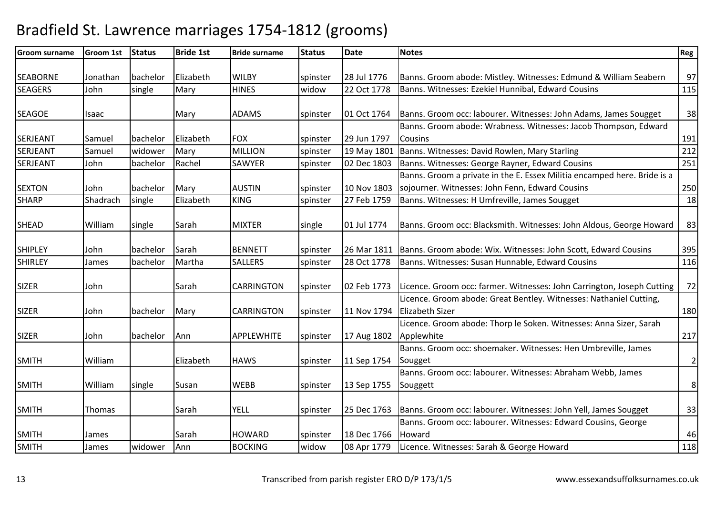| <b>Groom surname</b> | <b>Groom 1st</b> | <b>Status</b> | <b>Bride 1st</b> | <b>Bride surname</b> | <b>Status</b> | <b>Date</b> | <b>Notes</b>                                                                          | Reg            |
|----------------------|------------------|---------------|------------------|----------------------|---------------|-------------|---------------------------------------------------------------------------------------|----------------|
| <b>SEABORNE</b>      | Jonathan         | bachelor      | Elizabeth        | <b>WILBY</b>         | spinster      | 28 Jul 1776 | Banns. Groom abode: Mistley. Witnesses: Edmund & William Seabern                      | 97             |
| <b>SEAGERS</b>       | John             | single        | Mary             | <b>HINES</b>         | widow         | 22 Oct 1778 | Banns. Witnesses: Ezekiel Hunnibal, Edward Cousins                                    | 115            |
|                      |                  |               |                  |                      |               |             |                                                                                       |                |
| <b>SEAGOE</b>        | Isaac            |               | Mary             | <b>ADAMS</b>         | spinster      | 01 Oct 1764 | Banns. Groom occ: labourer. Witnesses: John Adams, James Sougget                      | 38             |
|                      |                  |               |                  |                      |               |             | Banns. Groom abode: Wrabness. Witnesses: Jacob Thompson, Edward                       |                |
| SERJEANT             | Samuel           | bachelor      | Elizabeth        | <b>FOX</b>           | spinster      | 29 Jun 1797 | Cousins                                                                               | 191            |
| SERJEANT             | Samuel           | widower       | Mary             | <b>MILLION</b>       | spinster      | 19 May 1801 | Banns. Witnesses: David Rowlen, Mary Starling                                         | 212            |
| SERJEANT             | John             | bachelor      | Rachel           | SAWYER               | spinster      | 02 Dec 1803 | Banns. Witnesses: George Rayner, Edward Cousins                                       | 251            |
|                      |                  |               |                  |                      |               |             | Banns. Groom a private in the E. Essex Militia encamped here. Bride is a              |                |
| <b>SEXTON</b>        | John             | bachelor      | Mary             | <b>AUSTIN</b>        | spinster      | 10 Nov 1803 | sojourner. Witnesses: John Fenn, Edward Cousins                                       | 250            |
| <b>SHARP</b>         | Shadrach         | single        | Elizabeth        | <b>KING</b>          | spinster      | 27 Feb 1759 | Banns. Witnesses: H Umfreville, James Sougget                                         | 18             |
| <b>SHEAD</b>         | William          | single        | Sarah            | <b>MIXTER</b>        | single        | 01 Jul 1774 | Banns. Groom occ: Blacksmith. Witnesses: John Aldous, George Howard                   | 83             |
| <b>SHIPLEY</b>       | John             | bachelor      | Sarah            | <b>BENNETT</b>       | spinster      |             | 26 Mar 1811   Banns. Groom abode: Wix. Witnesses: John Scott, Edward Cousins          | 395            |
| <b>SHIRLEY</b>       | James            | bachelor      | Martha           | <b>SALLERS</b>       | spinster      | 28 Oct 1778 | Banns. Witnesses: Susan Hunnable, Edward Cousins                                      | 116            |
| <b>SIZER</b>         | John             |               | Sarah            | <b>CARRINGTON</b>    | spinster      | 02 Feb 1773 | Licence. Groom occ: farmer. Witnesses: John Carrington, Joseph Cutting                | 72             |
| <b>SIZER</b>         | John             | bachelor      | Mary             | <b>CARRINGTON</b>    | spinster      | 11 Nov 1794 | Licence. Groom abode: Great Bentley. Witnesses: Nathaniel Cutting,<br>Elizabeth Sizer | 180            |
| <b>SIZER</b>         | John             | bachelor      | Ann              | APPLEWHITE           | spinster      | 17 Aug 1802 | Licence. Groom abode: Thorp le Soken. Witnesses: Anna Sizer, Sarah<br>Applewhite      | 217            |
| <b>SMITH</b>         | William          |               | Elizabeth        | <b>HAWS</b>          | spinster      | 11 Sep 1754 | Banns. Groom occ: shoemaker. Witnesses: Hen Umbreville, James<br>Sougget              | $\overline{2}$ |
| <b>SMITH</b>         | William          | single        | Susan            | <b>WEBB</b>          | spinster      | 13 Sep 1755 | Banns. Groom occ: labourer. Witnesses: Abraham Webb, James<br>Souggett                | $\bf 8$        |
| <b>SMITH</b>         | Thomas           |               | Sarah            | <b>YELL</b>          | spinster      | 25 Dec 1763 | Banns. Groom occ: labourer. Witnesses: John Yell, James Sougget                       | 33             |
| <b>SMITH</b>         | James            |               | Sarah            | <b>HOWARD</b>        | spinster      | 18 Dec 1766 | Banns. Groom occ: labourer. Witnesses: Edward Cousins, George<br>Howard               | 46             |
| <b>SMITH</b>         | James            | widower       | Ann              | <b>BOCKING</b>       | widow         | 08 Apr 1779 | Licence. Witnesses: Sarah & George Howard                                             | 118            |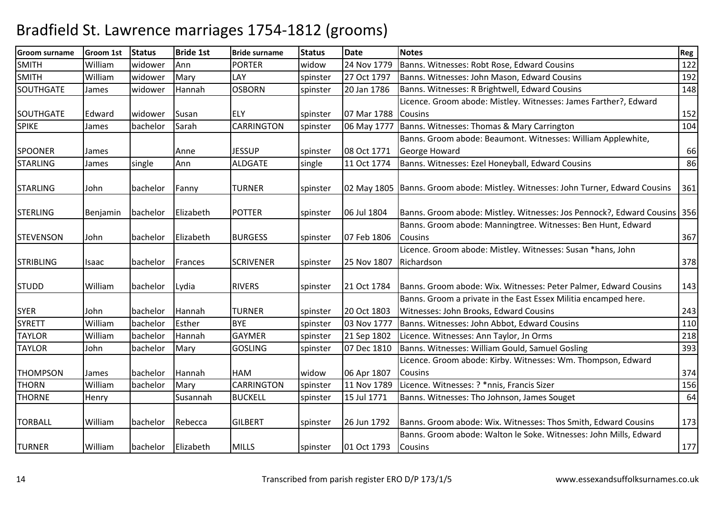| <b>Groom surname</b> | <b>Groom 1st</b> | <b>Status</b> | <b>Bride 1st</b> | <b>Bride surname</b> | <b>Status</b> | <b>Date</b> | <b>Notes</b>                                                                      | Reg |
|----------------------|------------------|---------------|------------------|----------------------|---------------|-------------|-----------------------------------------------------------------------------------|-----|
| <b>SMITH</b>         | William          | widower       | Ann              | <b>PORTER</b>        | widow         | 24 Nov 1779 | Banns. Witnesses: Robt Rose, Edward Cousins                                       | 122 |
| <b>SMITH</b>         | William          | widower       | Mary             | LAY                  | spinster      | 27 Oct 1797 | Banns. Witnesses: John Mason, Edward Cousins                                      | 192 |
| SOUTHGATE            | James            | widower       | Hannah           | <b>OSBORN</b>        | spinster      | 20 Jan 1786 | Banns. Witnesses: R Brightwell, Edward Cousins                                    | 148 |
|                      |                  |               |                  |                      |               |             | Licence. Groom abode: Mistley. Witnesses: James Farther?, Edward                  |     |
| <b>SOUTHGATE</b>     | Edward           | widower       | Susan            | <b>ELY</b>           | spinster      | 07 Mar 1788 | <b>ICousins</b>                                                                   | 152 |
| <b>SPIKE</b>         | James            | bachelor      | Sarah            | <b>CARRINGTON</b>    | spinster      | 06 May 1777 | Banns. Witnesses: Thomas & Mary Carrington                                        | 104 |
|                      |                  |               |                  |                      |               |             | Banns. Groom abode: Beaumont. Witnesses: William Applewhite,                      |     |
| <b>SPOONER</b>       | James            |               | Anne             | <b>JESSUP</b>        | spinster      | 08 Oct 1771 | George Howard                                                                     | 66  |
| <b>STARLING</b>      | James            | single        | Ann              | <b>ALDGATE</b>       | single        | 11 Oct 1774 | Banns. Witnesses: Ezel Honeyball, Edward Cousins                                  | 86  |
|                      |                  |               |                  |                      |               |             |                                                                                   |     |
| <b>STARLING</b>      | John             | bachelor      | Fanny            | <b>TURNER</b>        | spinster      |             | 02 May 1805   Banns. Groom abode: Mistley. Witnesses: John Turner, Edward Cousins | 361 |
|                      |                  |               |                  |                      |               |             |                                                                                   |     |
| <b>STERLING</b>      | Benjamin         | bachelor      | Elizabeth        | <b>POTTER</b>        | spinster      | 06 Jul 1804 | Banns. Groom abode: Mistley. Witnesses: Jos Pennock?, Edward Cousins 356          |     |
|                      |                  |               |                  |                      |               |             | Banns. Groom abode: Manningtree. Witnesses: Ben Hunt, Edward                      |     |
| <b>STEVENSON</b>     | John             | bachelor      | Elizabeth        | <b>BURGESS</b>       | spinster      | 07 Feb 1806 | Cousins                                                                           | 367 |
|                      |                  |               |                  |                      |               |             | Licence. Groom abode: Mistley. Witnesses: Susan *hans, John                       |     |
| <b>STRIBLING</b>     | Isaac            | bachelor      | Frances          | <b>SCRIVENER</b>     | spinster      | 25 Nov 1807 | Richardson                                                                        | 378 |
|                      |                  |               |                  |                      |               |             |                                                                                   |     |
| <b>STUDD</b>         | William          | bachelor      | Lydia            | <b>RIVERS</b>        | spinster      | 21 Oct 1784 | Banns. Groom abode: Wix. Witnesses: Peter Palmer, Edward Cousins                  | 143 |
|                      |                  |               |                  |                      |               |             | Banns. Groom a private in the East Essex Militia encamped here.                   |     |
| <b>SYER</b>          | John             | bachelor      | Hannah           | <b>TURNER</b>        | spinster      | 20 Oct 1803 | Witnesses: John Brooks, Edward Cousins                                            | 243 |
| <b>SYRETT</b>        | William          | bachelor      | Esther           | <b>BYE</b>           | spinster      | 03 Nov 1777 | Banns. Witnesses: John Abbot, Edward Cousins                                      | 110 |
| <b>TAYLOR</b>        | William          | bachelor      | Hannah           | <b>GAYMER</b>        | spinster      | 21 Sep 1802 | Licence. Witnesses: Ann Taylor, Jn Orms                                           | 218 |
| <b>TAYLOR</b>        | John             | bachelor      | Mary             | <b>GOSLING</b>       | spinster      | 07 Dec 1810 | Banns. Witnesses: William Gould, Samuel Gosling                                   | 393 |
|                      |                  |               |                  |                      |               |             | Licence. Groom abode: Kirby. Witnesses: Wm. Thompson, Edward                      |     |
| <b>THOMPSON</b>      | James            | bachelor      | Hannah           | <b>HAM</b>           | widow         | 06 Apr 1807 | Cousins                                                                           | 374 |
| <b>THORN</b>         | William          | bachelor      | Mary             | <b>CARRINGTON</b>    | spinster      | 11 Nov 1789 | Licence. Witnesses: ? *nnis, Francis Sizer                                        | 156 |
| <b>THORNE</b>        | Henry            |               | Susannah         | <b>BUCKELL</b>       | spinster      | 15 Jul 1771 | Banns. Witnesses: Tho Johnson, James Souget                                       | 64  |
|                      |                  |               |                  |                      |               |             |                                                                                   |     |
| <b>TORBALL</b>       | William          | bachelor      | Rebecca          | <b>GILBERT</b>       | spinster      | 26 Jun 1792 | Banns. Groom abode: Wix. Witnesses: Thos Smith, Edward Cousins                    | 173 |
|                      |                  |               |                  |                      |               |             | Banns. Groom abode: Walton le Soke. Witnesses: John Mills, Edward                 |     |
| <b>TURNER</b>        | William          | bachelor      | Elizabeth        | <b>MILLS</b>         | spinster      | 01 Oct 1793 | <b>Cousins</b>                                                                    | 177 |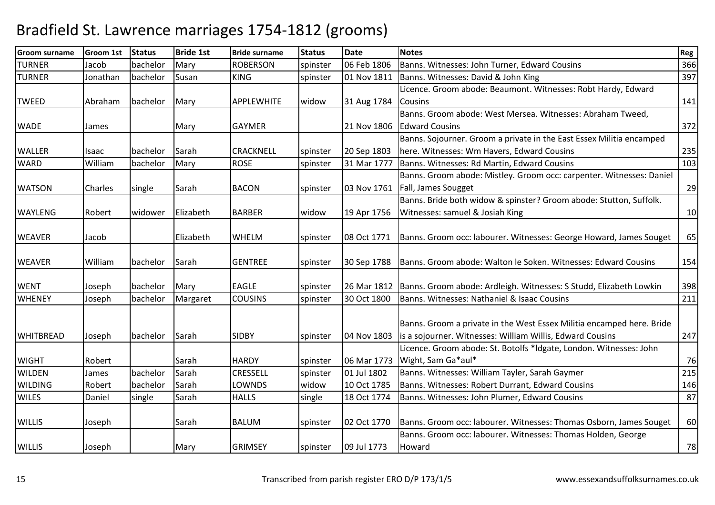| <b>Groom surname</b> | Groom 1st      | <b>Status</b> | <b>Bride 1st</b> | <b>Bride surname</b> | <b>Status</b> | <b>Date</b> | <b>Notes</b>                                                                     | Reg |
|----------------------|----------------|---------------|------------------|----------------------|---------------|-------------|----------------------------------------------------------------------------------|-----|
| TURNER               | Jacob          | bachelor      | Mary             | <b>ROBERSON</b>      | spinster      | 06 Feb 1806 | Banns. Witnesses: John Turner, Edward Cousins                                    | 366 |
| <b>TURNER</b>        | Jonathan       | bachelor      | Susan            | <b>KING</b>          | spinster      | 01 Nov 1811 | Banns. Witnesses: David & John King                                              | 397 |
|                      |                |               |                  |                      |               |             | Licence. Groom abode: Beaumont. Witnesses: Robt Hardy, Edward                    |     |
| <b>TWEED</b>         | Abraham        | bachelor      | Mary             | APPLEWHITE           | widow         | 31 Aug 1784 | Cousins                                                                          | 141 |
|                      |                |               |                  |                      |               |             | Banns. Groom abode: West Mersea. Witnesses: Abraham Tweed,                       |     |
| <b>WADE</b>          | James          |               | Mary             | <b>GAYMER</b>        |               | 21 Nov 1806 | <b>Edward Cousins</b>                                                            | 372 |
|                      |                |               |                  |                      |               |             | Banns. Sojourner. Groom a private in the East Essex Militia encamped             |     |
| <b>WALLER</b>        | Isaac          | bachelor      | Sarah            | <b>CRACKNELL</b>     | spinster      | 20 Sep 1803 | here. Witnesses: Wm Havers, Edward Cousins                                       | 235 |
| <b>WARD</b>          | William        | bachelor      | Mary             | <b>ROSE</b>          | spinster      | 31 Mar 1777 | Banns. Witnesses: Rd Martin, Edward Cousins                                      | 103 |
|                      |                |               |                  |                      |               |             | Banns. Groom abode: Mistley. Groom occ: carpenter. Witnesses: Daniel             |     |
| <b>WATSON</b>        | <b>Charles</b> | single        | Sarah            | <b>BACON</b>         | spinster      | 03 Nov 1761 | Fall, James Sougget                                                              | 29  |
|                      |                |               |                  |                      |               |             | Banns. Bride both widow & spinster? Groom abode: Stutton, Suffolk.               |     |
| <b>WAYLENG</b>       | Robert         | widower       | Elizabeth        | <b>BARBER</b>        | widow         | 19 Apr 1756 | Witnesses: samuel & Josiah King                                                  | 10  |
|                      |                |               |                  |                      |               |             |                                                                                  |     |
| <b>WEAVER</b>        | Jacob          |               | Elizabeth        | <b>WHELM</b>         | spinster      | 08 Oct 1771 | Banns. Groom occ: labourer. Witnesses: George Howard, James Souget               | 65  |
|                      |                |               |                  |                      |               |             |                                                                                  |     |
| <b>WEAVER</b>        | William        | bachelor      | Sarah            | <b>GENTREE</b>       | spinster      | 30 Sep 1788 | Banns. Groom abode: Walton le Soken. Witnesses: Edward Cousins                   | 154 |
|                      |                |               |                  |                      |               |             |                                                                                  |     |
| <b>WENT</b>          | Joseph         | bachelor      | Mary             | <b>EAGLE</b>         | spinster      |             | 26 Mar 1812   Banns. Groom abode: Ardleigh. Witnesses: S Studd, Elizabeth Lowkin | 398 |
| <b>WHENEY</b>        | Joseph         | bachelor      | Margaret         | <b>COUSINS</b>       | spinster      | 30 Oct 1800 | Banns. Witnesses: Nathaniel & Isaac Cousins                                      | 211 |
|                      |                |               |                  |                      |               |             |                                                                                  |     |
|                      |                |               |                  |                      |               |             | Banns. Groom a private in the West Essex Militia encamped here. Bride            |     |
| <b>WHITBREAD</b>     | Joseph         | bachelor      | Sarah            | <b>SIDBY</b>         | spinster      | 04 Nov 1803 | is a sojourner. Witnesses: William Willis, Edward Cousins                        | 247 |
|                      |                |               |                  |                      |               |             | Licence. Groom abode: St. Botolfs *Idgate, London. Witnesses: John               |     |
| <b>WIGHT</b>         | Robert         |               | Sarah            | <b>HARDY</b>         | spinster      | 06 Mar 1773 | Wight, Sam Ga*aul*                                                               | 76  |
| <b>WILDEN</b>        | James          | bachelor      | Sarah            | <b>CRESSELL</b>      | spinster      | 01 Jul 1802 | Banns. Witnesses: William Tayler, Sarah Gaymer                                   | 215 |
| <b>WILDING</b>       | Robert         | bachelor      | Sarah            | LOWNDS               | widow         | 10 Oct 1785 | Banns. Witnesses: Robert Durrant, Edward Cousins                                 | 146 |
| <b>WILES</b>         | Daniel         | single        | Sarah            | <b>HALLS</b>         | single        | 18 Oct 1774 | Banns. Witnesses: John Plumer, Edward Cousins                                    | 87  |
|                      |                |               |                  |                      |               |             |                                                                                  |     |
| <b>WILLIS</b>        | Joseph         |               | Sarah            | <b>BALUM</b>         | spinster      | 02 Oct 1770 | Banns. Groom occ: labourer. Witnesses: Thomas Osborn, James Souget               | 60  |
|                      |                |               |                  |                      |               |             | Banns. Groom occ: labourer. Witnesses: Thomas Holden, George                     |     |
| <b>WILLIS</b>        | Joseph         |               | Mary             | <b>GRIMSEY</b>       | spinster      | 09 Jul 1773 | Howard                                                                           | 78  |